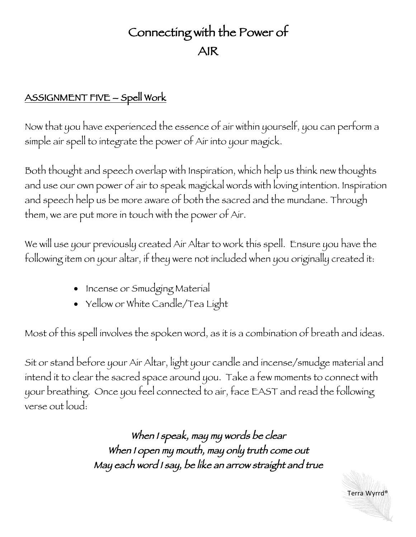## Connecting with the Power of AIR

## ASSIGNMENT FIVE – Spell Work

Now that you have experienced the essence of air within yourself, you can perform a simple air spell to integrate the power of Air into your magick.

Both thought and speech overlap with Inspiration, which help us think new thoughts and use our own power of air to speak magickal words with loving intention. Inspiration and speech help us be more aware of both the sacred and the mundane. Through them, we are put more in touch with the power of Air.

We will use your previously created Air Altar to work this spell. Ensure you have the following item on your altar, if they were not included when you originally created it:

- Incense or Smudging Material
- Yellow or White Candle/Tea Light

Most of this spell involves the spoken word, as it is a combination of breath and ideas.

Sit or stand before your Air Altar, light your candle and incense/smudge material and intend it to clear the sacred space around you. Take a few moments to connect with your breathing. Once you feel connected to air, face EAST and read the following verse out loud:

> When I speak, may my words be clear When I open my mouth, may only truth come out May each word I say, be like an arrow straight and true